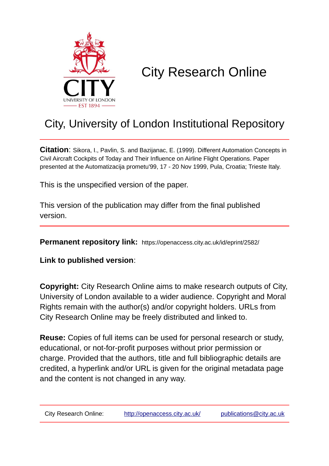

# City Research Online

## City, University of London Institutional Repository

**Citation**: Sikora, I., Pavlin, S. and Bazijanac, E. (1999). Different Automation Concepts in Civil Aircraft Cockpits of Today and Their Influence on Airline Flight Operations. Paper presented at the Automatizacija prometu'99, 17 - 20 Nov 1999, Pula, Croatia; Trieste Italy.

This is the unspecified version of the paper.

This version of the publication may differ from the final published version.

**Permanent repository link:** https://openaccess.city.ac.uk/id/eprint/2582/

**Link to published version**:

**Copyright:** City Research Online aims to make research outputs of City, University of London available to a wider audience. Copyright and Moral Rights remain with the author(s) and/or copyright holders. URLs from City Research Online may be freely distributed and linked to.

**Reuse:** Copies of full items can be used for personal research or study, educational, or not-for-profit purposes without prior permission or charge. Provided that the authors, title and full bibliographic details are credited, a hyperlink and/or URL is given for the original metadata page and the content is not changed in any way.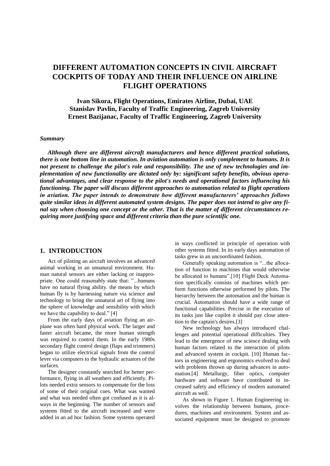### **DIFFERENT AUTOMATION CONCEPTS IN CIVIL AIRCRAFT COCKPITS OF TODAY AND THEIR INFLUENCE ON AIRLINE FLIGHT OPERATIONS**

**Ivan Sikora, Flight Operations, Emirates Airline, Dubai, UAE Stanislav Pavlin, Faculty of Traffic Engineering, Zagreb University Ernest Bazijanac, Faculty of Traffic Engineering, Zagreb University**

#### *Summary*

*Although there are different aircraft manufacturers and hence different practical solutions, there is one bottom line in automation. In aviation automation is only complement to humans. It is not present to challenge the pilot's role and responsibility. The use of new technologies and implementation of new functionality are dictated only by: significant safety benefits, obvious operational advantages, and clear response to the pilot's needs and operational factors influencing his functioning. The paper will discuss different approaches to automation related to flight operations in aviation. The paper intends to demonstrate how different manufacturers' approaches follows quite similar ideas in different automated system designs. The paper does not intend to give any final say when choosing one concept or the other. That is the matter of different circumstances requiring more justifying space and different criteria than the pure scientific one.*

#### **1. INTRODUCTION**

Act of piloting an aircraft involves an advanced animal working in an unnatural environment. Human natural sensors are either lacking or inappropriate. One could reasonably state that: "...humans have no natural flying ability. the means by which human fly is by harnessing nature via science and technology to bring the unnatural art of flying into the sphere of knowledge and sensibility with which we have the capability to deal." [4]

From the early days of aviation flying an airplane was often hard physical work. The larger and faster aircraft became, the more human strength was required to control them. In the early 1980s secondary flight control design (flaps and trimmers) began to utilize electrical signals from the control lever via computers to the hydraulic actuators of the surfaces.

The designer constantly searched for better performance, flying in all weathers and efficiently. Pilots needed extra sensors to compensate for the loss of some of their original cues. What was wanted and what was needed often got confused as it is always in the beginning. The number of sensors and systems fitted to the aircraft increased and were added in an ad hoc fashion. Some systems operated in ways conflicted in principle of operation with other systems fitted. In its early days automation of tasks grew in an uncoordinated fashion.

Generally speaking automation is "...the allocation of function to machines that would otherwise be allocated to humans".[10] Flight Deck Automation specifically consists of machines which perform functions otherwise performed by pilots. The hierarchy between the automation and the human is crucial. Automation should have a wide range of functional capabilities. Precise in the execution of its tasks just like copilot it should pay close attention to the captain's desires.[3]

New technology has always introduced challenges and potential operational difficulties. They lead to the emergence of new science dealing with human factors related to the interaction of pilots and advanced system in cockpit. [10] Human factors in engineering and ergonomics evolved to deal with problems thrown up during advances in automation.[4] Metallurgy, fiber optics, computer hardware and software have contributed to increased safety and efficiency of modern automated aircraft as well.

As shown in Figure 1. Human Engineering involves the relationship between humans, procedures, machines and environment. System and associated equipment must be designed to promote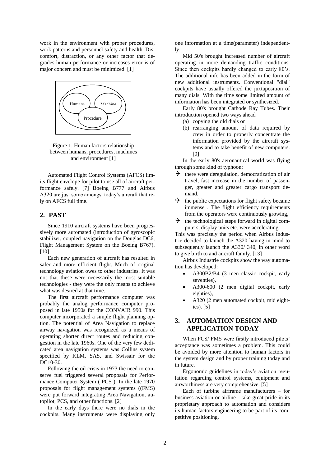work in the environment with proper procedures, work patterns and personnel safety and health. Discomfort, distraction, or any other factor that degrades human performance or increases error is of major concern and must be minimized. [1]



Figure 1. Human factors relationship between humans, procedures, machines and environment [1]

Automated Flight Control Systems (AFCS) limits flight envelope for pilot to use all of aircraft performance safely. [7] Boeing B777 and Airbus A320 are just some amongst today's aircraft that rely on AFCS full time.

#### **2. PAST**

Since 1910 aircraft systems have been progressively more automated (introduction of gyroscopic stabilizer, coupled navigation on the Douglas DC6, Flight Management System on the Boeing B767). [10]

Each new generation of aircraft has resulted in safer and more efficient flight. Much of original technology aviation owes to other industries. It was not that these were necessarily the most suitable technologies - they were the only means to achieve what was desired at that time.

The first aircraft performance computer was probably the analog performance computer proposed in late 1950s for the CONVAIR 990. This computer incorporated a simple flight planning option. The potential of Area Navigation to replace airway navigation was recognized as a means of operating shorter direct routes and reducing congestion in the late 1960s. One of the very few dedicated area navigation systems was Collins system specified by KLM, SAS, and Swissair for the DC10-30.

Following the oil crisis in 1973 the need to conserve fuel triggered several proposals for Performance Computer System ( PCS ). In the late 1970 proposals for flight management systems ((FMS) were put forward integrating Area Navigation, autopilot, PCS, and other functions. [2]

In the early days there were no dials in the cockpits. Many instruments were displaying only one information at a time(parameter) independently.

Mid 50's brought increased number of aircraft operating in more demanding traffic conditions. Since then cockpits hardly changed to early 80's. The additional info has been added in the form of new additional instruments. Conventional "dial" cockpits have usually offered the juxtaposition of many dials. With the time some limited amount of information has been integrated or synthesized.

Early 80's brought Cathode Ray Tubes. Their introduction opened two ways ahead

- (a) copying the old dials or
- (b) rearranging amount of data required by crew in order to properly concentrate the information provided by the aircraft systems and to take benefit of new computers. [9]

In the early 80's aeronautical world was flying through some kind of typhoon:

- $\rightarrow$  there were deregulation, democratization of air travel, fast increase in the number of passenger, greater and greater cargo transport demand,
- $\rightarrow$  the public expectations for flight safety became immense . The flight efficiency requirements from the operators were continuously growing,
- $\rightarrow$  the technological steps forward in digital computers, display units etc. were accelerating.

This was precisely the period when Airbus Industrie decided to launch the A320 having in mind to subsequently launch the A330/ 340, in other word to give birth to and aircraft family. [13]

Airbus Industrie cockpits show the way automation has developed:

- A300B2/B4 (3 men classic cockpit, early seventies),
- A300-600 (2 men digital cockpit, early eighties),
- A320 (2 men automated cockpit, mid eighties). [5]

#### **3. AUTOMATION DESIGN AND APPLICATION TODAY**

When PCS/ FMS were firstly introduced pilots' acceptance was sometimes a problem. This could be avoided by more attention to human factors in the system design and by proper training today and in future.

Ergonomic guidelines in today's aviation regulation regarding control systems, equipment and airworthiness are very comprehensive. [5]

Each of turbine airframe manufacturers – for business aviation or airline - take great pride in its proprietary approach to automation and considers its human factors engineering to be part of its competitive positioning.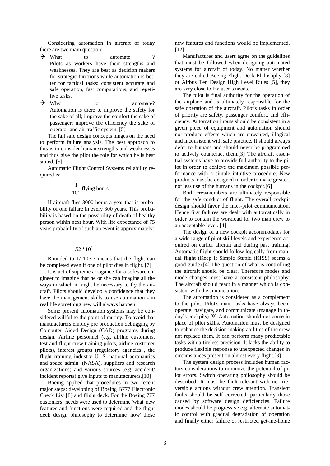Considering automation in aircraft of today there are two main question:

- $\rightarrow$  What to automate ? Pilots as workers have their strengths and weaknesses. They are best as decision makers for strategic functions while automation is better for tactical tasks: consistent accurate and safe operation, fast computations, and repetitive tasks.
- $\rightarrow$  Why to automate? Automation is there to improve the safety for the sake of all; improve the comfort the sake of passenger; improve the efficiency the sake of operator and air traffic system. [5]

The fail safe design concepts hinges on the need to perform failure analysis. The best approach to this is to consider human strengths and weaknesses and thus give the pilot the role for which he is best suited. [5]

Automatic Flight Control Systems reliability required is:

$$
\frac{1}{10^7}
$$
 flying hours

If aircraft flies 3000 hours a year that is probability of one failure in every 300 years. This probability is based on the possibility of death of healthy person within next hour. With life expectance of 75 years probability of such an event is approximately:

$$
\frac{1}{152*10^6}
$$

Rounded to 1/ 10e-7 means that the flight can be completed even if one of pilot dies in flight. [7]

It is act of supreme arrogance for a software engineer to imagine that he or she can imagine all the ways in which it might be necessary to fly the aircraft. Pilots should develop a confidence that they have the management skills to use automation - in real life something new will always happen.

Some present automation systems may be considered willful to the point of mutiny. To avoid that manufacturers employ pre production debugging by Computer Aided Design (CAD) programs during design. Airline personnel (e.g. airline customers, test and flight crew training pilots, airline customer pilots), interest groups (regulatory agencies , the flight training industry U. S. national aeronautics and space admin. (NASA), suppliers and research organizations) and various sources (e.g. accident/ incident reports) give inputs to manufacturers.[10]

Boeing applied that procedures in two recent major steps: developing of Boeing B777 Electronic Check List [8] and flight deck. For the Boeing 777 customers' needs were used to determine 'what' new features and functions were required and the flight deck design philosophy to determine 'how' these

new features and functions would be implemented. [12]

Manufactures and users agree on the guidelines that must be followed when designing automated systems for aircraft of today. No matter whether they are called Boeing Flight Deck Philosophy [8] or Airbus Ten Design High Level Rules [5], they are very close to the user's needs.

The pilot is final authority for the operation of the airplane and is ultimately responsible for the safe operation of the aircraft. Pilot's tasks in order of priority are safety, passenger comfort, and efficiency. Automation inputs should be consistent in a given piece of equipment and automation should not produce effects which are unwanted, illogical and inconsistent with safe practice. It should always defer to humans and should never be programmed to actively counteract them.[3] The aircraft essential systems have to provide full authority to the pilot in order to achieve the maximum possible performance with a simple intuitive procedure. New products must be designed in order to make greater, not less use of the humans in the cockpit.[6]

Both crewmembers are ultimately responsible for the safe conduct of flight. The overall cockpit design should favor the inter-pilot communication. Hence first failures are dealt with automatically in order to contain the workload for two man crew to an acceptable level. [4]

The design of a new cockpit accommodates for a wide range of pilot skill levels and experience acquired on earlier aircraft and during past training. Automatic flight should follow logically from manual flight (Keep It Simple Stupid (KISS) seems a good guide).[4] The question of what is controlling the aircraft should be clear. Therefore modes and mode changes must have a consistent philosophy. The aircraft should react in a manner which is consistent with the annunciation.

The automation is considered as a complement to the pilot. Pilot's main tasks have always been: operate, navigate, and communicate (manage in today's cockpits).[9] Automation should not come in place of pilot skills. Automation must be designed to enhance the decision making abilities of the crew not replace them. It can perform many predictable tasks with a tireless precision. It lacks the ability to produce flexible response to unexpected changes in circumstances present on almost every flight.[3]

The system design process includes human factors considerations to minimize the potential of pilot errors. Switch operating philosophy should be described. It must be fault tolerant with no irreversible actions without crew attention. Transient faults should be self corrected, particularly those caused by software design deficiencies. Failure modes should be progressive e.g. alternate automatic control with gradual degradation of operation and finally either failure or restricted get-me-home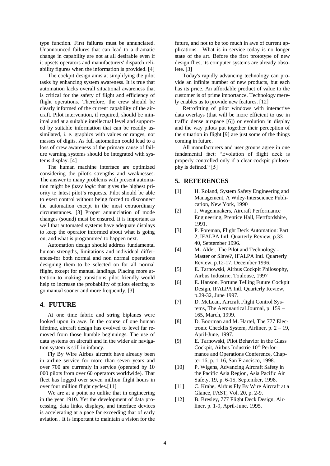type function. First failures must be annunciated. Unannounced failures that can lead to a dramatic change in capability are not at all desirable even if it upsets operators and manufacturers' dispatch reliability figures when the information is provided. [4]

The cockpit design aims at simplifying the pilot tasks by enhancing system awareness. It is true that automation lacks overall situational awareness that is critical for the safety of flight and efficiency of flight operations. Therefore, the crew should be clearly informed of the current capability of the aircraft. Pilot intervention, if required, should be minimal and at a suitable intellectual level and supported by suitable information that can be readily assimilated, i. e. graphics with values or ranges, not masses of digits. As full automation could lead to a loss of crew awareness of the primary cause of failure warning systems should be integrated with systems display. [4]

The human machine interface are optimized considering the pilot's strengths and weaknesses. The answer to many problems with present automation might be *fuzzy logic* that gives the highest priority to latest pilot's requests. Pilot should be able to exert control without being forced to disconnect the automation except in the most extraordinary circumstances. [3] Proper annunciation of mode changes (sound) must be ensured. It is important as well that automated systems have adequate displays to keep the operator informed about what is going on, and what is programmed to happen next.

Automation design should address fundamental human strengths, limitations and individual differences-for both normal and non normal operations designing them to be selected on for all normal flight, except for manual landings. Placing more attention to making transitions pilot friendly would help to increase the probability of pilots electing to go manual sooner and more frequently. [3]

#### **4. FUTURE**

At one time fabric and string biplanes were looked upon in awe. In the course of one human lifetime, aircraft design has evolved to level far removed from those humble beginnings. The use of data systems on aircraft and in the wider air navigation system is still in infancy.

Fly By Wire Airbus aircraft have already been in airline service for more than seven years and over 700 are currently in service (operated by 10 000 pilots from over 60 operators worldwide). That fleet has logged over seven million flight hours in over four million flight cycles.[11]

We are at a point no unlike that in engineering in the year 1910. Yet the development of data processing, data links, displays, and interface devices is accelerating at a pace far exceeding that of early aviation . It is important to maintain a vision for the

future, and not to be too much in awe of current applications. What is in service today is no longer state of the art. Before the first prototype of new design flies, its computer systems are already obsolete. [3]

Today's rapidly advancing technology can provide an infinite number of new products, but each has its price. An affordable product of value to the customer is of prime importance. Technology merely enables us to provide new features. [12]

Retrofitting of pilot windows with interactive data overlays (that will be more efficient to use in traffic dense airspace [6]) or evolution in display and the way pilots put together their perception of the situation in flight [9] are just some of the things coming in future.

All manufacturers and user groups agree in one fundamental fact: "Evolution of flight deck is properly controlled only if a clear cockpit philosophy is defined." [5]

#### **5. REFERENCES**

- [1] H. Roland, System Safety Engineering and Management, A Wiley-Interscience Publication, New York, 1990
- [2] J. Wagenmakers, Aircraft Performance Engineering, Prentice Hall, Hertfordshire, 1991.
- [3] P. Foreman, Flight Deck Automation: Part 2, IFALPA Intl. Quarterly Review, p.33- 40, September 1996.
- [4] M- Alder, The Pilot and Technology Master or Slave?, IFALPA Intl. Quarterly Review, p.12-17, December 1996.
- [5] E. Tarnowski, Airbus Cockpit Philosophy, Airbus Industrie, Toulouse, 1997
- [6] E. Hanson, Fortune Telling Future Cockpit Design, IFALPA Intl. Quarterly Review, p.29-32, June 1997.
- [7] D. McLean, Aircraft Flight Control Systems, The Aeronautical Journal, p. 159 – 165, March, 1999.
- [8] D. Boorman and M. Hartel, The 777 Electronic Checklis System, Airliner, p. 2 – 19, April-June, 1997.
- [9] E. Tarnowski, Pilot Behavior in the Glass Cockpit, Airbus Industrie 10<sup>th</sup> Performance and Operations Conference, Chapter 16, p. 1-16, San Francisco, 1998.
- [10] P. Wigens, Advancing Aircraft Safety in the Pacific Asia Region, Asia Pacific Air Safety, 19, p. 6-15, September, 1998.
- [11] C. Krahe, Airbus Fly By Wire Aircraft at a Glance, FAST, Vol. 20, p. 2-9.
- [12] B. Bresley, 777 Flight Deck Design, Airliner, p. 1-9, April-June, 1995.